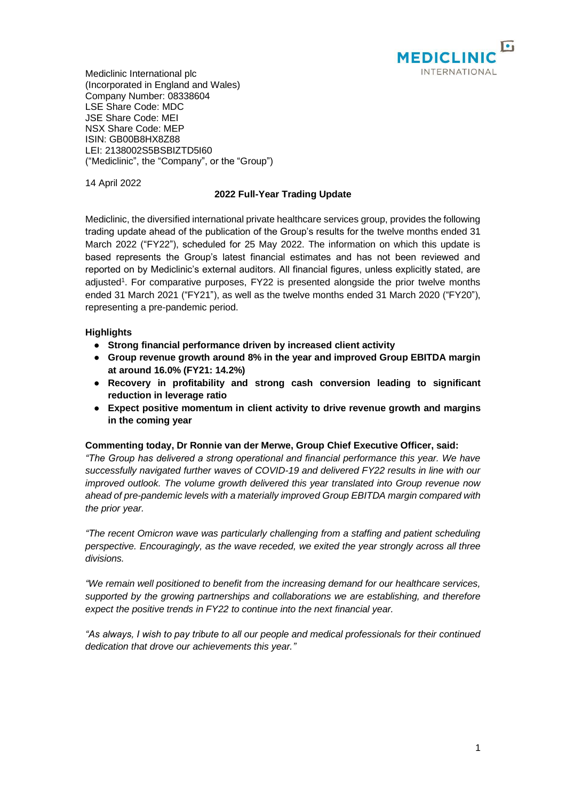

Mediclinic International plc (Incorporated in England and Wales) Company Number: 08338604 LSE Share Code: MDC JSE Share Code: MEI NSX Share Code: MEP ISIN: GB00B8HX8Z88 LEI: 2138002S5BSBIZTD5I60 ("Mediclinic", the "Company", or the "Group")

14 April 2022

# **2022 Full-Year Trading Update**

Mediclinic, the diversified international private healthcare services group, provides the following trading update ahead of the publication of the Group's results for the twelve months ended 31 March 2022 ("FY22"), scheduled for 25 May 2022. The information on which this update is based represents the Group's latest financial estimates and has not been reviewed and reported on by Mediclinic's external auditors. All financial figures, unless explicitly stated, are adjusted<sup>1</sup>. For comparative purposes, FY22 is presented alongside the prior twelve months ended 31 March 2021 ("FY21"), as well as the twelve months ended 31 March 2020 ("FY20"), representing a pre-pandemic period.

# **Highlights**

- **● Strong financial performance driven by increased client activity**
- **● Group revenue growth around 8% in the year and improved Group EBITDA margin at around 16.0% (FY21: 14.2%)**
- **● Recovery in profitability and strong cash conversion leading to significant reduction in leverage ratio**
- **● Expect positive momentum in client activity to drive revenue growth and margins in the coming year**

## **Commenting today, Dr Ronnie van der Merwe, Group Chief Executive Officer, said:**

*"The Group has delivered a strong operational and financial performance this year. We have successfully navigated further waves of COVID-19 and delivered FY22 results in line with our improved outlook. The volume growth delivered this year translated into Group revenue now ahead of pre-pandemic levels with a materially improved Group EBITDA margin compared with the prior year.*

*"The recent Omicron wave was particularly challenging from a staffing and patient scheduling perspective. Encouragingly, as the wave receded, we exited the year strongly across all three divisions.*

*"We remain well positioned to benefit from the increasing demand for our healthcare services, supported by the growing partnerships and collaborations we are establishing, and therefore expect the positive trends in FY22 to continue into the next financial year.*

*"As always, I wish to pay tribute to all our people and medical professionals for their continued dedication that drove our achievements this year."*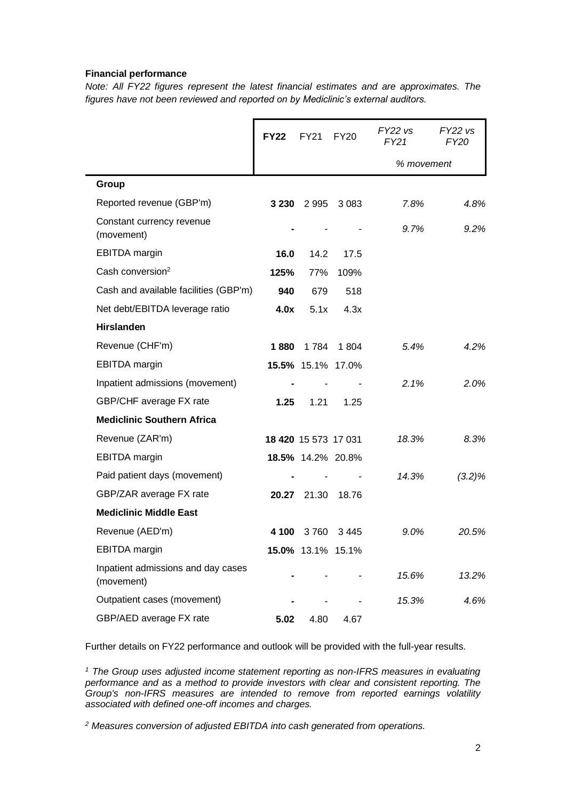## **Financial performance**

*Note: All FY22 figures represent the latest financial estimates and are approximates. The figures have not been reviewed and reported on by Mediclinic's external auditors.*

|                                                  | <b>FY22</b> | <b>FY21</b>          | FY20    | $FY22$ vs<br>FY21 | $FY22$ vs<br><b>FY20</b> |
|--------------------------------------------------|-------------|----------------------|---------|-------------------|--------------------------|
|                                                  |             |                      |         | % movement        |                          |
| Group                                            |             |                      |         |                   |                          |
| Reported revenue (GBP'm)                         | 3 2 3 0     | 2995                 | 3 0 8 3 | 7.8%              | 4.8%                     |
| Constant currency revenue<br>(movement)          |             |                      |         | 9.7%              | 9.2%                     |
| <b>EBITDA</b> margin                             | 16.0        | 14.2                 | 17.5    |                   |                          |
| Cash conversion <sup>2</sup>                     | 125%        | 77%                  | 109%    |                   |                          |
| Cash and available facilities (GBP'm)            | 940         | 679                  | 518     |                   |                          |
| Net debt/EBITDA leverage ratio                   | 4.0x        | 5.1x                 | 4.3x    |                   |                          |
| <b>Hirslanden</b>                                |             |                      |         |                   |                          |
| Revenue (CHF'm)                                  | 1880        | 1 7 8 4              | 1 804   | 5.4%              | 4.2%                     |
| <b>EBITDA</b> margin                             |             | 15.5% 15.1% 17.0%    |         |                   |                          |
| Inpatient admissions (movement)                  |             |                      |         | 2.1%              | 2.0%                     |
| GBP/CHF average FX rate                          | 1.25        | 1.21                 | 1.25    |                   |                          |
| <b>Mediclinic Southern Africa</b>                |             |                      |         |                   |                          |
| Revenue (ZAR'm)                                  |             | 18 420 15 573 17 031 |         | 18.3%             | 8.3%                     |
| <b>EBITDA</b> margin                             |             | 18.5% 14.2% 20.8%    |         |                   |                          |
| Paid patient days (movement)                     |             |                      |         | 14.3%             | $(3.2)\%$                |
| GBP/ZAR average FX rate                          | 20.27       | 21.30                | 18.76   |                   |                          |
| <b>Mediclinic Middle East</b>                    |             |                      |         |                   |                          |
| Revenue (AED'm)                                  | 4 100       | 3760                 | 3445    | 9.0%              | 20.5%                    |
| <b>EBITDA</b> margin                             |             | 15.0% 13.1% 15.1%    |         |                   |                          |
| Inpatient admissions and day cases<br>(movement) |             |                      |         | 15.6%             | 13.2%                    |
| Outpatient cases (movement)                      |             |                      |         | 15.3%             | 4.6%                     |
| GBP/AED average FX rate                          | 5.02        | 4.80                 | 4.67    |                   |                          |

Further details on FY22 performance and outlook will be provided with the full-year results.

*<sup>1</sup> The Group uses adjusted income statement reporting as non-IFRS measures in evaluating performance and as a method to provide investors with clear and consistent reporting. The Group's non-IFRS measures are intended to remove from reported earnings volatility associated with defined one-off incomes and charges.*

*<sup>2</sup> Measures conversion of adjusted EBITDA into cash generated from operations.*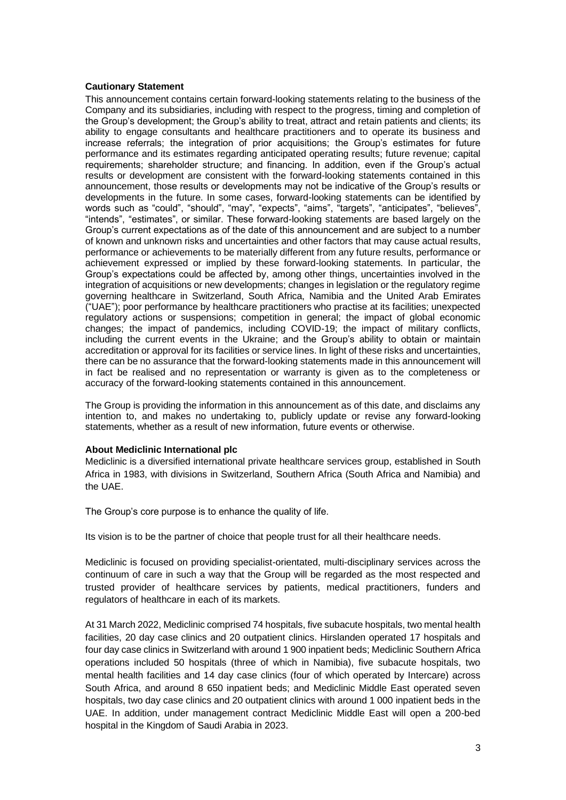## **Cautionary Statement**

This announcement contains certain forward-looking statements relating to the business of the Company and its subsidiaries, including with respect to the progress, timing and completion of the Group's development; the Group's ability to treat, attract and retain patients and clients; its ability to engage consultants and healthcare practitioners and to operate its business and increase referrals; the integration of prior acquisitions; the Group's estimates for future performance and its estimates regarding anticipated operating results; future revenue; capital requirements; shareholder structure; and financing. In addition, even if the Group's actual results or development are consistent with the forward-looking statements contained in this announcement, those results or developments may not be indicative of the Group's results or developments in the future. In some cases, forward-looking statements can be identified by words such as "could", "should", "may", "expects", "aims", "targets", "anticipates", "believes", "intends", "estimates", or similar. These forward-looking statements are based largely on the Group's current expectations as of the date of this announcement and are subject to a number of known and unknown risks and uncertainties and other factors that may cause actual results, performance or achievements to be materially different from any future results, performance or achievement expressed or implied by these forward-looking statements. In particular, the Group's expectations could be affected by, among other things, uncertainties involved in the integration of acquisitions or new developments; changes in legislation or the regulatory regime governing healthcare in Switzerland, South Africa, Namibia and the United Arab Emirates ("UAE"); poor performance by healthcare practitioners who practise at its facilities; unexpected regulatory actions or suspensions; competition in general; the impact of global economic changes; the impact of pandemics, including COVID-19; the impact of military conflicts, including the current events in the Ukraine; and the Group's ability to obtain or maintain accreditation or approval for its facilities or service lines. In light of these risks and uncertainties, there can be no assurance that the forward-looking statements made in this announcement will in fact be realised and no representation or warranty is given as to the completeness or accuracy of the forward-looking statements contained in this announcement.

The Group is providing the information in this announcement as of this date, and disclaims any intention to, and makes no undertaking to, publicly update or revise any forward-looking statements, whether as a result of new information, future events or otherwise.

#### **About Mediclinic International plc**

Mediclinic is a diversified international private healthcare services group, established in South Africa in 1983, with divisions in Switzerland, Southern Africa (South Africa and Namibia) and the UAE.

The Group's core purpose is to enhance the quality of life.

Its vision is to be the partner of choice that people trust for all their healthcare needs.

Mediclinic is focused on providing specialist-orientated, multi-disciplinary services across the continuum of care in such a way that the Group will be regarded as the most respected and trusted provider of healthcare services by patients, medical practitioners, funders and regulators of healthcare in each of its markets.

At 31 March 2022, Mediclinic comprised 74 hospitals, five subacute hospitals, two mental health facilities, 20 day case clinics and 20 outpatient clinics. Hirslanden operated 17 hospitals and four day case clinics in Switzerland with around 1 900 inpatient beds; Mediclinic Southern Africa operations included 50 hospitals (three of which in Namibia), five subacute hospitals, two mental health facilities and 14 day case clinics (four of which operated by Intercare) across South Africa, and around 8 650 inpatient beds; and Mediclinic Middle East operated seven hospitals, two day case clinics and 20 outpatient clinics with around 1 000 inpatient beds in the UAE. In addition, under management contract Mediclinic Middle East will open a 200-bed hospital in the Kingdom of Saudi Arabia in 2023.